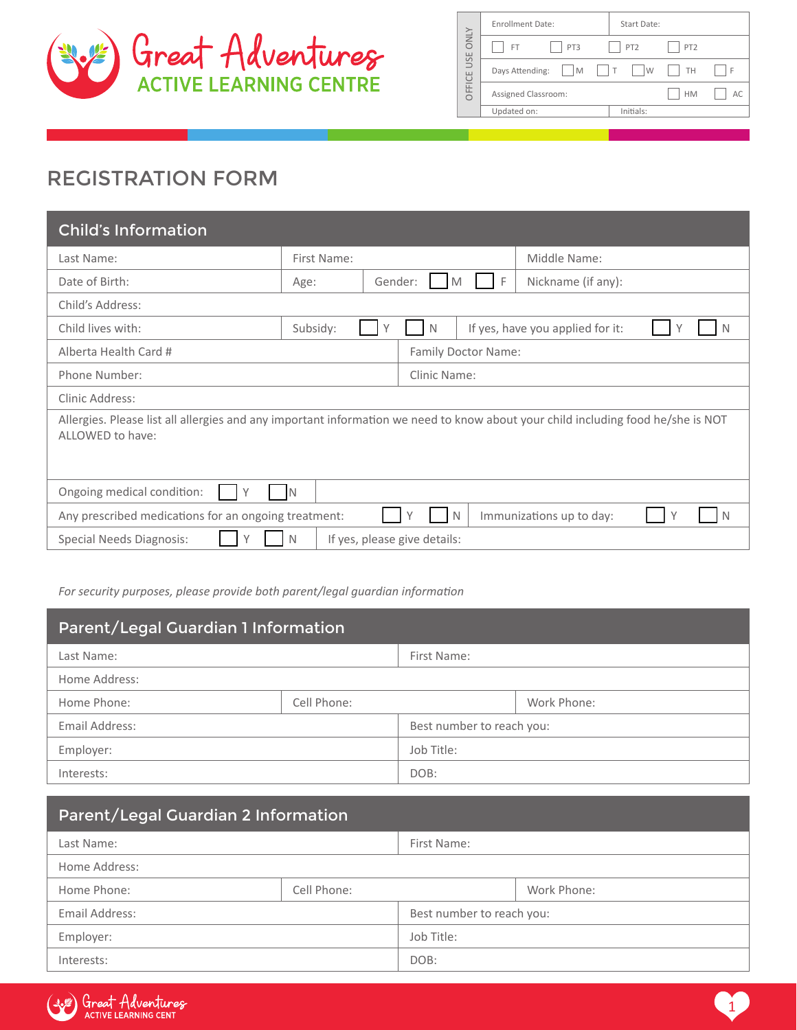

|             | <b>Enrollment Date:</b>           | Start Date:                  |                 |    |
|-------------|-----------------------------------|------------------------------|-----------------|----|
| <b>ONLY</b> | PT3<br>FT.                        | $ $   PT2                    | PT <sub>2</sub> |    |
| USE         | Days Attending:<br>I <sub>M</sub> | $\mathsf{W}$<br>$\mathsf{I}$ | TH              | ΙF |
| OFFICE      | Assigned Classroom:               |                              | <b>HM</b>       | AC |
|             | Updated on:                       | Initials:                    |                 |    |

# REGISTRATION FORM

| <b>Child's Information</b>                                                                                                                           |                                   |                     |                                       |  |
|------------------------------------------------------------------------------------------------------------------------------------------------------|-----------------------------------|---------------------|---------------------------------------|--|
| Last Name:                                                                                                                                           | First Name:                       |                     | Middle Name:                          |  |
| Date of Birth:                                                                                                                                       | Age:                              | - F<br>Gender:<br>M | Nickname (if any):                    |  |
| Child's Address:                                                                                                                                     |                                   |                     |                                       |  |
| Child lives with:                                                                                                                                    | Subsidy:                          | N                   | If yes, have you applied for it:<br>N |  |
| Alberta Health Card #                                                                                                                                |                                   | Family Doctor Name: |                                       |  |
| Phone Number:                                                                                                                                        |                                   | Clinic Name:        |                                       |  |
| Clinic Address:                                                                                                                                      |                                   |                     |                                       |  |
| Allergies. Please list all allergies and any important information we need to know about your child including food he/she is NOT<br>ALLOWED to have: |                                   |                     |                                       |  |
| Ongoing medical condition:<br>IN                                                                                                                     |                                   |                     |                                       |  |
| Any prescribed medications for an ongoing treatment:                                                                                                 |                                   | $\mathbb N$         | Immunizations up to day:<br>N         |  |
| Special Needs Diagnosis:                                                                                                                             | If yes, please give details:<br>N |                     |                                       |  |

*For security purposes, please provide both parent/legal guardian information*

| Parent/Legal Guardian 1 Information |             |                           |             |
|-------------------------------------|-------------|---------------------------|-------------|
| Last Name:                          |             | First Name:               |             |
| Home Address:                       |             |                           |             |
| Home Phone:                         | Cell Phone: |                           | Work Phone: |
| Email Address:                      |             | Best number to reach you: |             |
| Employer:                           |             | Job Title:                |             |
| Interests:                          |             | DOB:                      |             |

| Parent/Legal Guardian 2 Information |             |                           |             |
|-------------------------------------|-------------|---------------------------|-------------|
| Last Name:                          |             | First Name:               |             |
| Home Address:                       |             |                           |             |
| Home Phone:                         | Cell Phone: |                           | Work Phone: |
| Email Address:                      |             | Best number to reach you: |             |
| Employer:                           |             | Job Title:                |             |
| Interests:                          |             | DOB:                      |             |

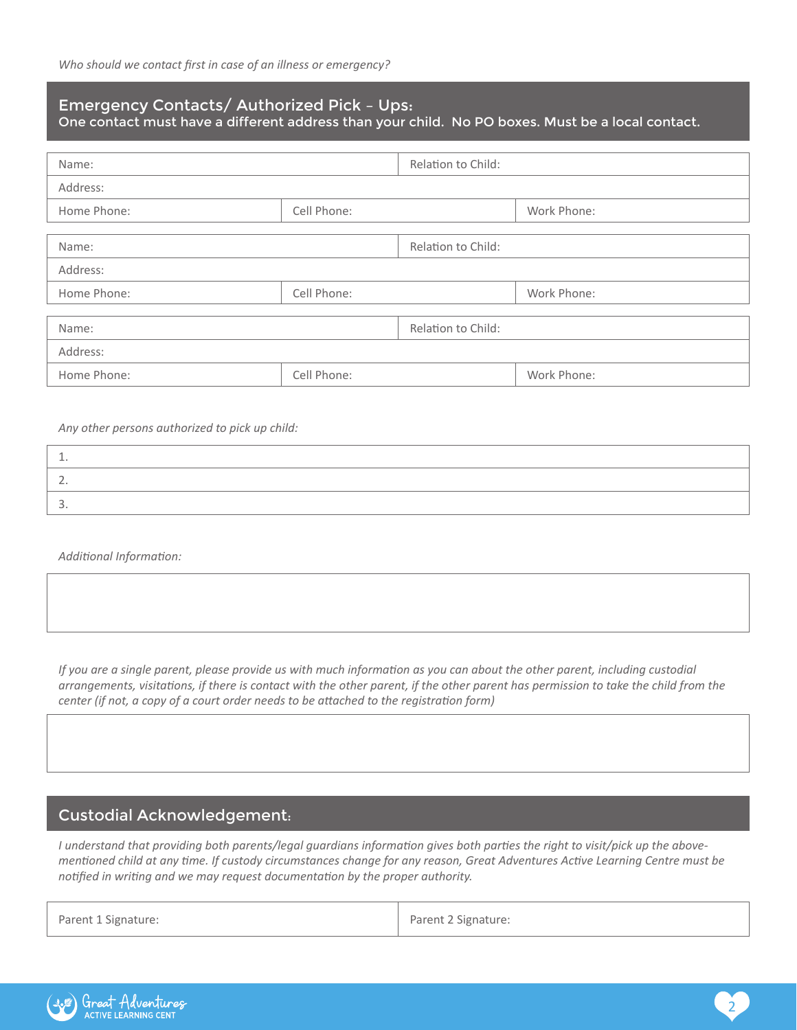## Emergency Contacts/ Authorized Pick – Ups:

One contact must have a different address than your child. No PO boxes. Must be a local contact.

| Name:                      |             | Relation to Child: |             |
|----------------------------|-------------|--------------------|-------------|
| Address:                   |             |                    |             |
|                            |             |                    |             |
| Home Phone:                | Cell Phone: |                    | Work Phone: |
|                            |             |                    |             |
| Name:                      |             | Relation to Child: |             |
| Address:                   |             |                    |             |
| Home Phone:                | Cell Phone: |                    | Work Phone: |
|                            |             |                    |             |
| Name:                      |             | Relation to Child: |             |
| Address:                   |             |                    |             |
| Cell Phone:<br>Home Phone: |             |                    | Work Phone: |

*Any other persons authorized to pick up child:*

*Additional Information:* 

*If you are a single parent, please provide us with much information as you can about the other parent, including custodial arrangements, visitations, if there is contact with the other parent, if the other parent has permission to take the child from the center (if not, a copy of a court order needs to be attached to the registration form)* 

## Custodial Acknowledgement:

*I understand that providing both parents/legal guardians information gives both parties the right to visit/pick up the abovementioned child at any time. If custody circumstances change for any reason, Great Adventures Active Learning Centre must be notified in writing and we may request documentation by the proper authority.*

| Parent 1 Signature: | Parent 2 Signature: |
|---------------------|---------------------|
|                     |                     |

2

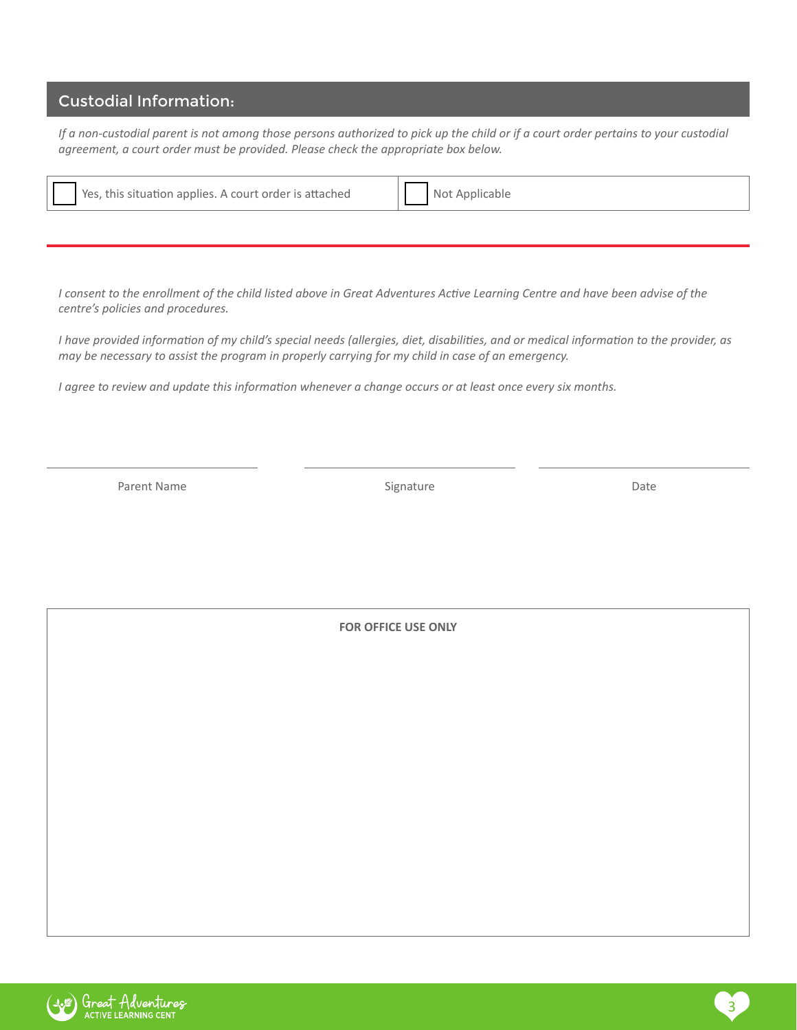## Custodial Information:

*If a non-custodial parent is not among those persons authorized to pick up the child or if a court order pertains to your custodial agreement, a court order must be provided. Please check the appropriate box below.*

| , this situation applies. A court order is attached<br>Yes, | oplicable |
|-------------------------------------------------------------|-----------|
|-------------------------------------------------------------|-----------|

*I consent to the enrollment of the child listed above in Great Adventures Active Learning Centre and have been advise of the centre's policies and procedures.*

*I have provided information of my child's special needs (allergies, diet, disabilities, and or medical information to the provider, as may be necessary to assist the program in properly carrying for my child in case of an emergency.* 

*I agree to review and update this information whenever a change occurs or at least once every six months.*

Parent Name **Signature** Signature **Contract State Contract Parent Name** Date

**FOR OFFICE USE ONLY**

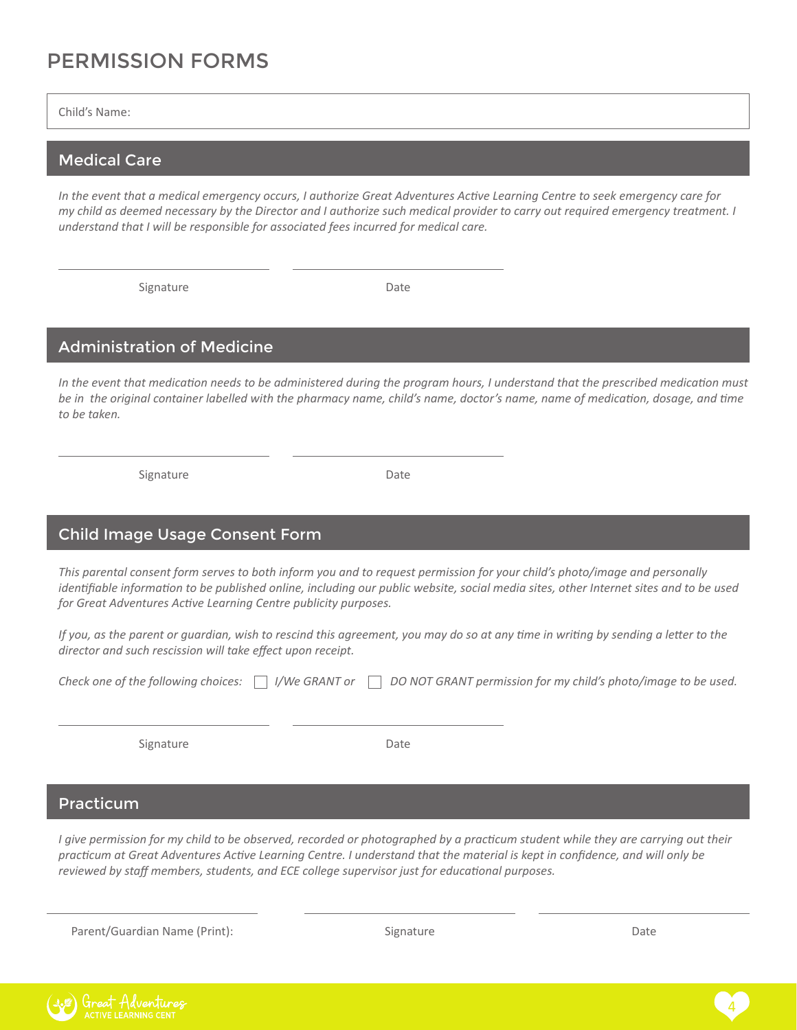# PERMISSION FORMS

Child's Name:

#### Medical Care

*In the event that a medical emergency occurs, I authorize Great Adventures Active Learning Centre to seek emergency care for my child as deemed necessary by the Director and I authorize such medical provider to carry out required emergency treatment. I understand that I will be responsible for associated fees incurred for medical care.* 

Signature

Date

#### Administration of Medicine

In the event that medication needs to be administered during the program hours, I understand that the prescribed medication must *be in the original container labelled with the pharmacy name, child's name, doctor's name, name of medication, dosage, and time to be taken.* 

Signature

Date

### Child Image Usage Consent Form

*This parental consent form serves to both inform you and to request permission for your child's photo/image and personally identifiable information to be published online, including our public website, social media sites, other Internet sites and to be used for Great Adventures Active Learning Centre publicity purposes.*

*If you, as the parent or guardian, wish to rescind this agreement, you may do so at any time in writing by sending a letter to the director and such rescission will take effect upon receipt.*

|  |  | Check one of the following choices:     //We GRANT or   DO NOT GRANT permission for my child's photo/image to be used. |
|--|--|------------------------------------------------------------------------------------------------------------------------|
|--|--|------------------------------------------------------------------------------------------------------------------------|

Signature

Date

#### Practicum

*I give permission for my child to be observed, recorded or photographed by a practicum student while they are carrying out their practicum at Great Adventures Active Learning Centre. I understand that the material is kept in confidence, and will only be reviewed by staff members, students, and ECE college supervisor just for educational purposes.* 

Parent/Guardian Name (Print): The Contract of Signature Contract of Date Date Date